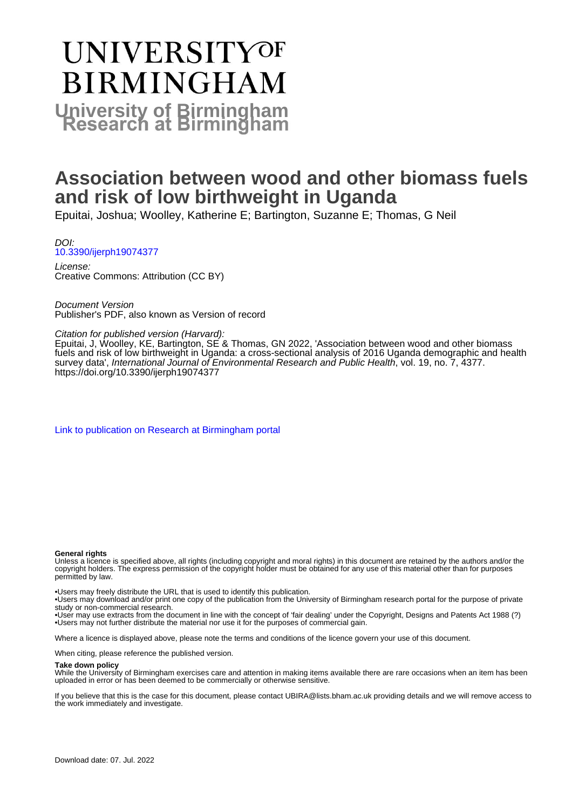# **UNIVERSITYOF BIRMINGHAM University of Birmingham**

## **Association between wood and other biomass fuels and risk of low birthweight in Uganda**

Epuitai, Joshua; Woolley, Katherine E; Bartington, Suzanne E; Thomas, G Neil

DOI: [10.3390/ijerph19074377](https://doi.org/10.3390/ijerph19074377)

License: Creative Commons: Attribution (CC BY)

Document Version Publisher's PDF, also known as Version of record

Citation for published version (Harvard):

Epuitai, J, Woolley, KE, Bartington, SE & Thomas, GN 2022, 'Association between wood and other biomass fuels and risk of low birthweight in Uganda: a cross-sectional analysis of 2016 Uganda demographic and health survey data', International Journal of Environmental Research and Public Health, vol. 19, no. 7, 4377. <https://doi.org/10.3390/ijerph19074377>

[Link to publication on Research at Birmingham portal](https://birmingham.elsevierpure.com/en/publications/0b9ce263-edec-40a4-85fc-f0c2fb792a57)

#### **General rights**

Unless a licence is specified above, all rights (including copyright and moral rights) in this document are retained by the authors and/or the copyright holders. The express permission of the copyright holder must be obtained for any use of this material other than for purposes permitted by law.

• Users may freely distribute the URL that is used to identify this publication.

• Users may download and/or print one copy of the publication from the University of Birmingham research portal for the purpose of private study or non-commercial research.

• User may use extracts from the document in line with the concept of 'fair dealing' under the Copyright, Designs and Patents Act 1988 (?) • Users may not further distribute the material nor use it for the purposes of commercial gain.

Where a licence is displayed above, please note the terms and conditions of the licence govern your use of this document.

When citing, please reference the published version.

#### **Take down policy**

While the University of Birmingham exercises care and attention in making items available there are rare occasions when an item has been uploaded in error or has been deemed to be commercially or otherwise sensitive.

If you believe that this is the case for this document, please contact UBIRA@lists.bham.ac.uk providing details and we will remove access to the work immediately and investigate.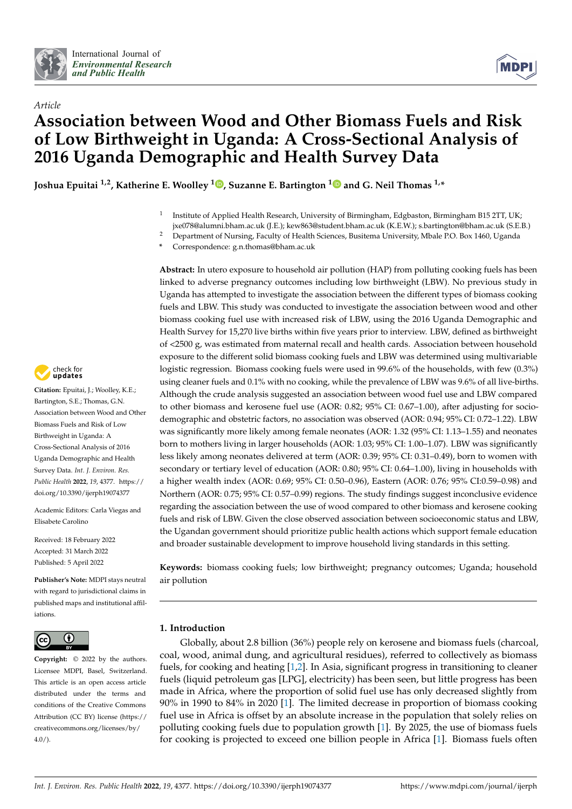



### *Article* **Association between Wood and Other Biomass Fuels and Risk of Low Birthweight in Uganda: A Cross-Sectional Analysis of 2016 Uganda Demographic and Health Survey Data**

**Joshua Epuitai 1,2, Katherine E. Woolley <sup>1</sup> [,](https://orcid.org/0000-0003-3743-9925) Suzanne E. Bartington [1](https://orcid.org/0000-0002-8179-7618) and G. Neil Thomas 1,\***

1 Institute of Applied Health Research, University of Birmingham, Edgbaston, Birmingham B15 2TT, UK; jxe078@alumni.bham.ac.uk (J.E.); kew863@student.bham.ac.uk (K.E.W.); s.bartington@bham.ac.uk (S.E.B.)

<sup>2</sup> Department of Nursing, Faculty of Health Sciences, Busitema University, Mbale P.O. Box 1460, Uganda

**\*** Correspondence: g.n.thomas@bham.ac.uk

**Abstract:** In utero exposure to household air pollution (HAP) from polluting cooking fuels has been linked to adverse pregnancy outcomes including low birthweight (LBW). No previous study in Uganda has attempted to investigate the association between the different types of biomass cooking fuels and LBW. This study was conducted to investigate the association between wood and other biomass cooking fuel use with increased risk of LBW, using the 2016 Uganda Demographic and Health Survey for 15,270 live births within five years prior to interview. LBW, defined as birthweight of <2500 g, was estimated from maternal recall and health cards. Association between household exposure to the different solid biomass cooking fuels and LBW was determined using multivariable logistic regression. Biomass cooking fuels were used in 99.6% of the households, with few (0.3%) using cleaner fuels and 0.1% with no cooking, while the prevalence of LBW was 9.6% of all live-births. Although the crude analysis suggested an association between wood fuel use and LBW compared to other biomass and kerosene fuel use (AOR: 0.82; 95% CI: 0.67–1.00), after adjusting for sociodemographic and obstetric factors, no association was observed (AOR: 0.94; 95% CI: 0.72–1.22). LBW was significantly more likely among female neonates (AOR: 1.32 (95% CI: 1.13–1.55) and neonates born to mothers living in larger households (AOR: 1.03; 95% CI: 1.00–1.07). LBW was significantly less likely among neonates delivered at term (AOR: 0.39; 95% CI: 0.31–0.49), born to women with secondary or tertiary level of education (AOR: 0.80; 95% CI: 0.64–1.00), living in households with a higher wealth index (AOR: 0.69; 95% CI: 0.50–0.96), Eastern (AOR: 0.76; 95% CI:0.59–0.98) and Northern (AOR: 0.75; 95% CI: 0.57–0.99) regions. The study findings suggest inconclusive evidence regarding the association between the use of wood compared to other biomass and kerosene cooking fuels and risk of LBW. Given the close observed association between socioeconomic status and LBW, the Ugandan government should prioritize public health actions which support female education and broader sustainable development to improve household living standards in this setting.

**Keywords:** biomass cooking fuels; low birthweight; pregnancy outcomes; Uganda; household air pollution

#### **1. Introduction**

Globally, about 2.8 billion (36%) people rely on kerosene and biomass fuels (charcoal, coal, wood, animal dung, and agricultural residues), referred to collectively as biomass fuels, for cooking and heating [\[1](#page-12-0)[,2\]](#page-12-1). In Asia, significant progress in transitioning to cleaner fuels (liquid petroleum gas [LPG], electricity) has been seen, but little progress has been made in Africa, where the proportion of solid fuel use has only decreased slightly from 90% in 1990 to 84% in 2020 [\[1\]](#page-12-0). The limited decrease in proportion of biomass cooking fuel use in Africa is offset by an absolute increase in the population that solely relies on polluting cooking fuels due to population growth [\[1\]](#page-12-0). By 2025, the use of biomass fuels for cooking is projected to exceed one billion people in Africa [\[1\]](#page-12-0). Biomass fuels often



**Citation:** Epuitai, J.; Woolley, K.E.; Bartington, S.E.; Thomas, G.N. Association between Wood and Other Biomass Fuels and Risk of Low Birthweight in Uganda: A Cross-Sectional Analysis of 2016 Uganda Demographic and Health Survey Data. *Int. J. Environ. Res. Public Health* **2022**, *19*, 4377. [https://](https://doi.org/10.3390/ijerph19074377) [doi.org/10.3390/ijerph19074377](https://doi.org/10.3390/ijerph19074377)

Academic Editors: Carla Viegas and Elisabete Carolino

Received: 18 February 2022 Accepted: 31 March 2022 Published: 5 April 2022

**Publisher's Note:** MDPI stays neutral with regard to jurisdictional claims in published maps and institutional affiliations.



**Copyright:** © 2022 by the authors. Licensee MDPI, Basel, Switzerland. This article is an open access article distributed under the terms and conditions of the Creative Commons Attribution (CC BY) license [\(https://](https://creativecommons.org/licenses/by/4.0/) [creativecommons.org/licenses/by/](https://creativecommons.org/licenses/by/4.0/)  $4.0/$ ).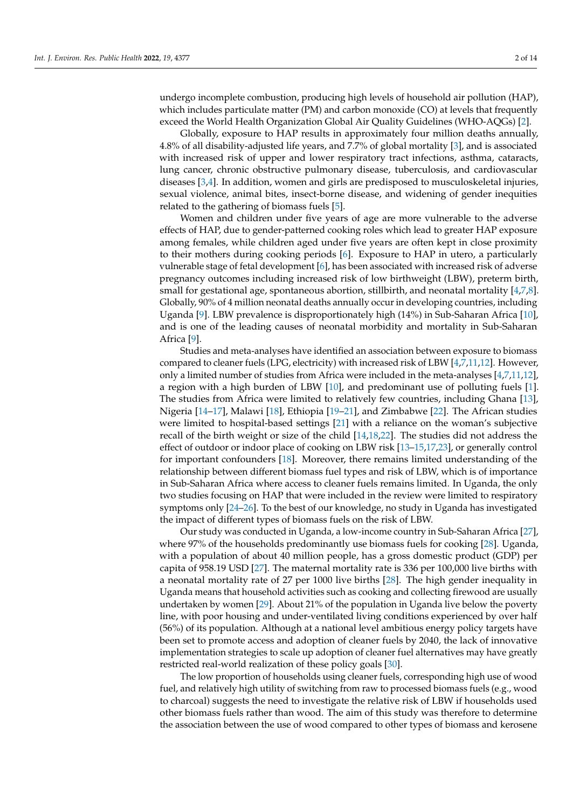undergo incomplete combustion, producing high levels of household air pollution (HAP), which includes particulate matter (PM) and carbon monoxide (CO) at levels that frequently exceed the World Health Organization Global Air Quality Guidelines (WHO-AQGs) [\[2\]](#page-12-1).

Globally, exposure to HAP results in approximately four million deaths annually, 4.8% of all disability-adjusted life years, and 7.7% of global mortality [\[3\]](#page-12-2), and is associated with increased risk of upper and lower respiratory tract infections, asthma, cataracts, lung cancer, chronic obstructive pulmonary disease, tuberculosis, and cardiovascular diseases [\[3,](#page-12-2)[4\]](#page-12-3). In addition, women and girls are predisposed to musculoskeletal injuries, sexual violence, animal bites, insect-borne disease, and widening of gender inequities related to the gathering of biomass fuels [\[5\]](#page-12-4).

Women and children under five years of age are more vulnerable to the adverse effects of HAP, due to gender-patterned cooking roles which lead to greater HAP exposure among females, while children aged under five years are often kept in close proximity to their mothers during cooking periods [\[6\]](#page-12-5). Exposure to HAP in utero, a particularly vulnerable stage of fetal development [\[6\]](#page-12-5), has been associated with increased risk of adverse pregnancy outcomes including increased risk of low birthweight (LBW), preterm birth, small for gestational age, spontaneous abortion, stillbirth, and neonatal mortality [\[4,](#page-12-3)[7,](#page-12-6)[8\]](#page-12-7). Globally, 90% of 4 million neonatal deaths annually occur in developing countries, including Uganda [\[9\]](#page-12-8). LBW prevalence is disproportionately high (14%) in Sub-Saharan Africa [\[10\]](#page-12-9), and is one of the leading causes of neonatal morbidity and mortality in Sub-Saharan Africa [\[9\]](#page-12-8).

Studies and meta-analyses have identified an association between exposure to biomass compared to cleaner fuels (LPG, electricity) with increased risk of LBW [\[4,](#page-12-3)[7,](#page-12-6)[11](#page-12-10)[,12\]](#page-12-11). However, only a limited number of studies from Africa were included in the meta-analyses [\[4,](#page-12-3)[7](#page-12-6)[,11](#page-12-10)[,12\]](#page-12-11), a region with a high burden of LBW [\[10\]](#page-12-9), and predominant use of polluting fuels [\[1\]](#page-12-0). The studies from Africa were limited to relatively few countries, including Ghana [\[13\]](#page-12-12), Nigeria [\[14–](#page-12-13)[17\]](#page-12-14), Malawi [\[18\]](#page-12-15), Ethiopia [\[19](#page-12-16)[–21\]](#page-12-17), and Zimbabwe [\[22\]](#page-12-18). The African studies were limited to hospital-based settings [\[21\]](#page-12-17) with a reliance on the woman's subjective recall of the birth weight or size of the child [\[14](#page-12-13)[,18](#page-12-15)[,22\]](#page-12-18). The studies did not address the effect of outdoor or indoor place of cooking on LBW risk [\[13–](#page-12-12)[15](#page-12-19)[,17,](#page-12-14)[23\]](#page-12-20), or generally control for important confounders [\[18\]](#page-12-15). Moreover, there remains limited understanding of the relationship between different biomass fuel types and risk of LBW, which is of importance in Sub-Saharan Africa where access to cleaner fuels remains limited. In Uganda, the only two studies focusing on HAP that were included in the review were limited to respiratory symptoms only [\[24–](#page-12-21)[26\]](#page-13-0). To the best of our knowledge, no study in Uganda has investigated the impact of different types of biomass fuels on the risk of LBW.

Our study was conducted in Uganda, a low-income country in Sub-Saharan Africa [\[27\]](#page-13-1), where 97% of the households predominantly use biomass fuels for cooking [\[28\]](#page-13-2). Uganda, with a population of about 40 million people, has a gross domestic product (GDP) per capita of 958.19 USD [\[27\]](#page-13-1). The maternal mortality rate is 336 per 100,000 live births with a neonatal mortality rate of 27 per 1000 live births [\[28\]](#page-13-2). The high gender inequality in Uganda means that household activities such as cooking and collecting firewood are usually undertaken by women [\[29\]](#page-13-3). About 21% of the population in Uganda live below the poverty line, with poor housing and under-ventilated living conditions experienced by over half (56%) of its population. Although at a national level ambitious energy policy targets have been set to promote access and adoption of cleaner fuels by 2040, the lack of innovative implementation strategies to scale up adoption of cleaner fuel alternatives may have greatly restricted real-world realization of these policy goals [\[30\]](#page-13-4).

The low proportion of households using cleaner fuels, corresponding high use of wood fuel, and relatively high utility of switching from raw to processed biomass fuels (e.g., wood to charcoal) suggests the need to investigate the relative risk of LBW if households used other biomass fuels rather than wood. The aim of this study was therefore to determine the association between the use of wood compared to other types of biomass and kerosene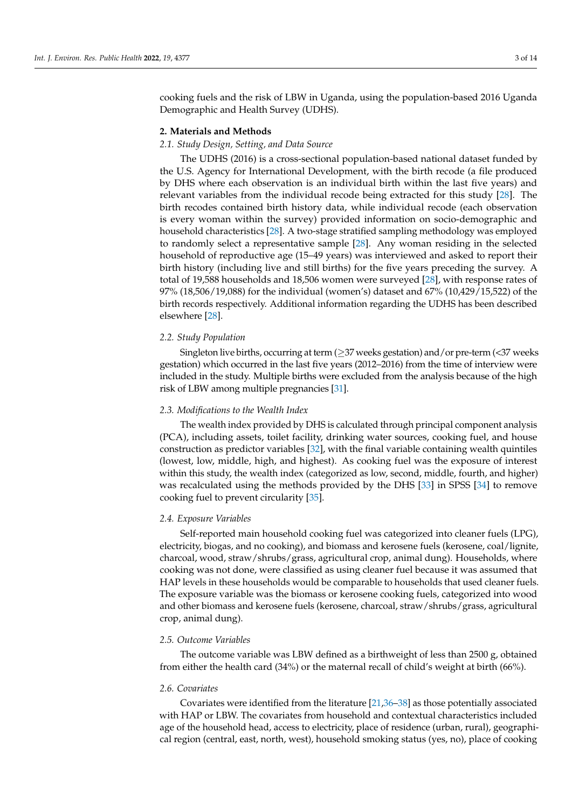cooking fuels and the risk of LBW in Uganda, using the population-based 2016 Uganda Demographic and Health Survey (UDHS).

#### **2. Materials and Methods**

#### *2.1. Study Design, Setting, and Data Source*

The UDHS (2016) is a cross-sectional population-based national dataset funded by the U.S. Agency for International Development, with the birth recode (a file produced by DHS where each observation is an individual birth within the last five years) and relevant variables from the individual recode being extracted for this study [\[28\]](#page-13-2). The birth recodes contained birth history data, while individual recode (each observation is every woman within the survey) provided information on socio-demographic and household characteristics [\[28\]](#page-13-2). A two-stage stratified sampling methodology was employed to randomly select a representative sample [\[28\]](#page-13-2). Any woman residing in the selected household of reproductive age (15–49 years) was interviewed and asked to report their birth history (including live and still births) for the five years preceding the survey. A total of 19,588 households and 18,506 women were surveyed [\[28\]](#page-13-2), with response rates of 97% (18,506/19,088) for the individual (women's) dataset and 67% (10,429/15,522) of the birth records respectively. Additional information regarding the UDHS has been described elsewhere [\[28\]](#page-13-2).

#### *2.2. Study Population*

Singleton live births, occurring at term (≥37 weeks gestation) and/or pre-term (<37 weeks gestation) which occurred in the last five years (2012–2016) from the time of interview were included in the study. Multiple births were excluded from the analysis because of the high risk of LBW among multiple pregnancies [\[31\]](#page-13-5).

#### *2.3. Modifications to the Wealth Index*

The wealth index provided by DHS is calculated through principal component analysis (PCA), including assets, toilet facility, drinking water sources, cooking fuel, and house construction as predictor variables [\[32\]](#page-13-6), with the final variable containing wealth quintiles (lowest, low, middle, high, and highest). As cooking fuel was the exposure of interest within this study, the wealth index (categorized as low, second, middle, fourth, and higher) was recalculated using the methods provided by the DHS [\[33\]](#page-13-7) in SPSS [\[34\]](#page-13-8) to remove cooking fuel to prevent circularity [\[35\]](#page-13-9).

#### *2.4. Exposure Variables*

Self-reported main household cooking fuel was categorized into cleaner fuels (LPG), electricity, biogas, and no cooking), and biomass and kerosene fuels (kerosene, coal/lignite, charcoal, wood, straw/shrubs/grass, agricultural crop, animal dung). Households, where cooking was not done, were classified as using cleaner fuel because it was assumed that HAP levels in these households would be comparable to households that used cleaner fuels. The exposure variable was the biomass or kerosene cooking fuels, categorized into wood and other biomass and kerosene fuels (kerosene, charcoal, straw/shrubs/grass, agricultural crop, animal dung).

#### *2.5. Outcome Variables*

The outcome variable was LBW defined as a birthweight of less than 2500 g, obtained from either the health card (34%) or the maternal recall of child's weight at birth (66%).

#### *2.6. Covariates*

Covariates were identified from the literature [\[21](#page-12-17)[,36](#page-13-10)[–38\]](#page-13-11) as those potentially associated with HAP or LBW. The covariates from household and contextual characteristics included age of the household head, access to electricity, place of residence (urban, rural), geographical region (central, east, north, west), household smoking status (yes, no), place of cooking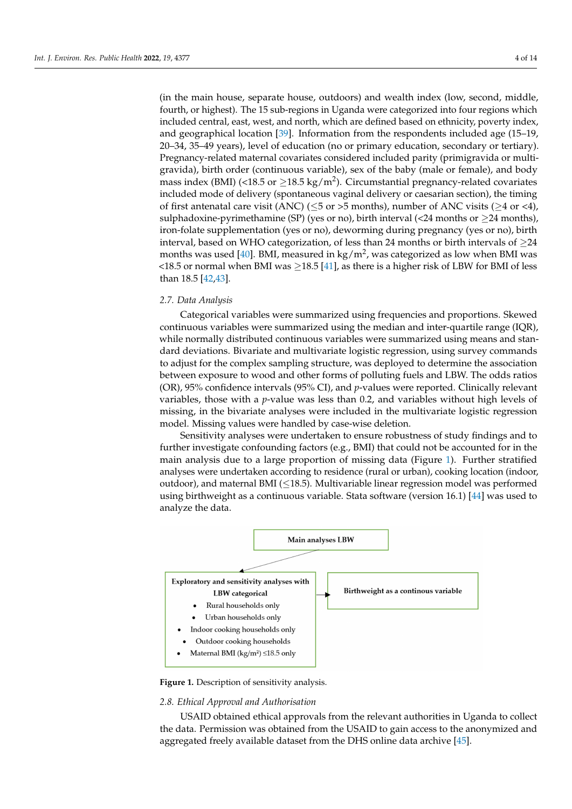(in the main house, separate house, outdoors) and wealth index (low, second, middle, fourth, or highest). The 15 sub-regions in Uganda were categorized into four regions which included central, east, west, and north, which are defined based on ethnicity, poverty index, and geographical location [\[39\]](#page-13-12). Information from the respondents included age (15–19, 20–34, 35–49 years), level of education (no or primary education, secondary or tertiary). Pregnancy-related maternal covariates considered included parity (primigravida or multigravida), birth order (continuous variable), sex of the baby (male or female), and body mass index (BMI) (<18.5 or  ${\geq}18.5$  kg/m<sup>2</sup>). Circumstantial pregnancy-related covariates included mode of delivery (spontaneous vaginal delivery or caesarian section), the timing of first antenatal care visit (ANC) ( $\leq$ 5 or >5 months), number of ANC visits ( $\geq$ 4 or <4), sulphadoxine-pyrimethamine (SP) (yes or no), birth interval (<24 months or  $\geq$ 24 months), iron-folate supplementation (yes or no), deworming during pregnancy (yes or no), birth interval, based on WHO categorization, of less than 24 months or birth intervals of  $\geq$ 24 months was used [\[40\]](#page-13-13). BMI, measured in kg/m<sup>2</sup>, was categorized as low when BMI was <18.5 or normal when BMI was  $\geq$ 18.5 [\[41\]](#page-13-14), as there is a higher risk of LBW for BMI of less than 18.5 [\[42](#page-13-15)[,43\]](#page-13-16).

#### *2.7. Data Analysis*

Categorical variables were summarized using frequencies and proportions. Skewed continuous variables were summarized using the median and inter-quartile range (IQR), while normally distributed continuous variables were summarized using means and standard deviations. Bivariate and multivariate logistic regression, using survey commands to adjust for the complex sampling structure, was deployed to determine the association between exposure to wood and other forms of polluting fuels and LBW. The odds ratios (OR), 95% confidence intervals (95% CI), and *p*-values were reported. Clinically relevant variables, those with a *p*-value was less than 0.2, and variables without high levels of missing, in the bivariate analyses were included in the multivariate logistic regression model. Missing values were handled by case-wise deletion.

Sensitivity analyses were undertaken to ensure robustness of study findings and to further investigate confounding factors (e.g., BMI) that could not be accounted for in the main analysis due to a large proportion of missing data (Figure [1\)](#page-4-0). Further stratified analyses were undertaken according to residence (rural or urban), cooking location (indoor, outdoor), and maternal BMI ( $\leq$ 18.5). Multivariable linear regression model was performed using birthweight as a continuous variable. Stata software (version 16.1) [\[44\]](#page-13-17) was used to analyze the data.

<span id="page-4-0"></span>

**Figure 1.** Description of sensitivity analysis.

#### *2.8. Ethical Approval and Authorisation*

USAID obtained ethical approvals from the relevant authorities in Uganda to collect the data. Permission was obtained from the USAID to gain access to the anonymized and aggregated freely available dataset from the DHS online data archive [\[45\]](#page-13-18).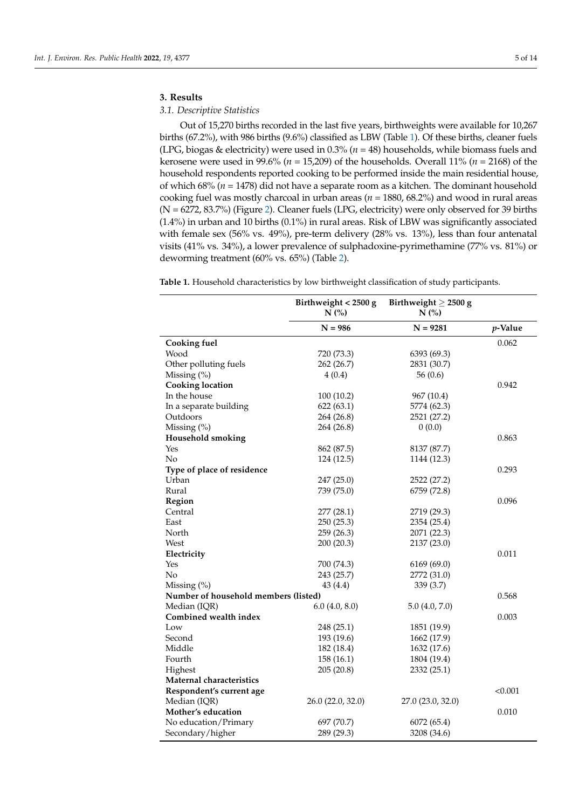#### **3. Results**

#### *3.1. Descriptive Statistics*

Out of 15,270 births recorded in the last five years, birthweights were available for 10,267 births (67.2%), with 986 births (9.6%) classified as LBW (Table [1\)](#page-5-0). Of these births, cleaner fuels (LPG, biogas & electricity) were used in 0.3% (*n* = 48) households, while biomass fuels and kerosene were used in 99.6% (*n* = 15,209) of the households. Overall 11% (*n* = 2168) of the household respondents reported cooking to be performed inside the main residential house, of which 68% (*n* = 1478) did not have a separate room as a kitchen. The dominant household cooking fuel was mostly charcoal in urban areas (*n* = 1880, 68.2%) and wood in rural areas (N = 6272, 83.7%) (Figure [2\)](#page-6-0). Cleaner fuels (LPG, electricity) were only observed for 39 births (1.4%) in urban and 10 births (0.1%) in rural areas. Risk of LBW was significantly associated with female sex (56% vs. 49%), pre-term delivery (28% vs. 13%), less than four antenatal visits (41% vs. 34%), a lower prevalence of sulphadoxine-pyrimethamine (77% vs. 81%) or deworming treatment (60% vs. 65%) (Table [2\)](#page-6-1).

<span id="page-5-0"></span>**Table 1.** Household characteristics by low birthweight classification of study participants.

|                                      | Birthweight < 2500 g<br>$N$ $\left(\frac{9}{6}\right)$ | Birthweight $\geq$ 2500 g<br>N(% |                 |
|--------------------------------------|--------------------------------------------------------|----------------------------------|-----------------|
|                                      | $N = 986$                                              | $N = 9281$                       | <i>p</i> -Value |
| <b>Cooking fuel</b>                  |                                                        |                                  | 0.062           |
| Wood                                 | 720 (73.3)                                             | 6393 (69.3)                      |                 |
| Other polluting fuels                | 262 (26.7)                                             | 2831 (30.7)                      |                 |
| Missing $(\% )$                      | 4(0.4)                                                 | 56 $(0.6)$                       |                 |
| <b>Cooking location</b>              |                                                        |                                  | 0.942           |
| In the house                         | 100 (10.2)                                             | 967 (10.4)                       |                 |
| In a separate building               | 622(63.1)                                              | 5774 (62.3)                      |                 |
| Outdoors                             | 264 (26.8)                                             | 2521 (27.2)                      |                 |
| Missing $(\% )$                      | 264 (26.8)                                             | 0(0.0)                           |                 |
| <b>Household smoking</b>             |                                                        |                                  | 0.863           |
| Yes                                  | 862 (87.5)                                             | 8137 (87.7)                      |                 |
| N <sub>o</sub>                       | 124 (12.5)                                             | 1144 (12.3)                      |                 |
| Type of place of residence           |                                                        |                                  | 0.293           |
| Urban                                | 247(25.0)                                              | 2522 (27.2)                      |                 |
| Rural                                | 739 (75.0)                                             | 6759 (72.8)                      |                 |
| Region                               |                                                        |                                  | 0.096           |
| Central                              | 277 (28.1)                                             | 2719 (29.3)                      |                 |
| East                                 | 250 (25.3)                                             | 2354 (25.4)                      |                 |
| North                                | 259 (26.3)                                             | 2071 (22.3)                      |                 |
| West                                 | 200(20.3)                                              | 2137 (23.0)                      |                 |
| Electricity                          |                                                        |                                  | 0.011           |
| Yes                                  | 700 (74.3)                                             | 6169 (69.0)                      |                 |
| No                                   | 243 (25.7)                                             | 2772 (31.0)                      |                 |
| Missing $(\%)$                       | 43(4.4)                                                | 339 (3.7)                        |                 |
| Number of household members (listed) |                                                        |                                  | 0.568           |
| Median (IQR)                         | 6.0(4.0, 8.0)                                          | 5.0(4.0, 7.0)                    |                 |
| Combined wealth index                |                                                        |                                  | 0.003           |
| Low                                  | 248 (25.1)                                             | 1851 (19.9)                      |                 |
| Second                               | 193 (19.6)                                             | 1662 (17.9)                      |                 |
| Middle                               | 182 (18.4)                                             | 1632 (17.6)                      |                 |
| Fourth                               | 158(16.1)                                              | 1804 (19.4)                      |                 |
| Highest                              | 205(20.8)                                              | 2332 (25.1)                      |                 |
| Maternal characteristics             |                                                        |                                  |                 |
| Respondent's current age             |                                                        |                                  | < 0.001         |
| Median (IQR)                         | 26.0 (22.0, 32.0)                                      | 27.0 (23.0, 32.0)                |                 |
| Mother's education                   |                                                        |                                  | 0.010           |
| No education/Primary                 | 697 (70.7)                                             | 6072 (65.4)                      |                 |
| Secondary/higher                     | 289 (29.3)                                             | 3208 (34.6)                      |                 |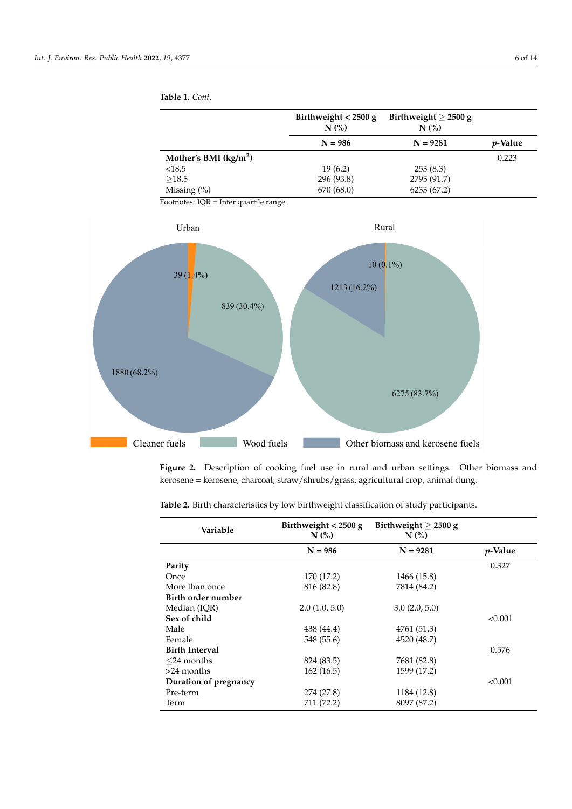| adie 1. C <i>oni.</i>  |                                |                                   |                 |
|------------------------|--------------------------------|-----------------------------------|-----------------|
|                        | Birthweight $<$ 2500 g<br>N(%) | Birthweight $\geq$ 2500 g<br>N(%) |                 |
|                        | $N = 986$                      | $N = 9281$                        | <i>p</i> -Value |
| Mother's BMI $(kg/m2)$ |                                |                                   | 0.223           |
| < 18.5                 | 19(6.2)                        | 253(8.3)                          |                 |

296 (93.8) 2795 (91.7)<br>670 (68.0) 6233 (67.2)

**Table 1.** *Cont.*

Missing  $(\%)$ 

<span id="page-6-0"></span>Footnotes: IQR = Inter quartile range.



 $\leq$ 18.5  $\geq$ 19 (6.2) 253 (8.3)<br> $\geq$ 18.5 296 (93.8) 2795 (91.7

**Figure 2.** Description of cooking fuel use in rural and urban settings. Other biomass and kerosene = kerosene, charcoal, straw/shrubs/grass, agricultural crop, animal dung.

| Variable              | Birthweight $<$ 2500 g<br>N(% | Birthweight $\geq$ 2500 g<br>$N$ (%) |                 |
|-----------------------|-------------------------------|--------------------------------------|-----------------|
|                       | $N = 986$                     | $N = 9281$                           | <i>p</i> -Value |
| Parity                |                               |                                      | 0.327           |
| Once                  | 170 (17.2)                    | 1466 (15.8)                          |                 |
| More than once        | 816 (82.8)                    | 7814 (84.2)                          |                 |
| Birth order number    |                               |                                      |                 |
| Median (IQR)          | 2.0(1.0, 5.0)                 | 3.0(2.0, 5.0)                        |                 |
| Sex of child          |                               |                                      | < 0.001         |
| Male                  | 438 (44.4)                    | 4761 (51.3)                          |                 |
| Female                | 548 (55.6)                    | 4520 (48.7)                          |                 |
| <b>Birth Interval</b> |                               |                                      | 0.576           |
| $<$ 24 months         | 824 (83.5)                    | 7681 (82.8)                          |                 |
| $>24$ months          | 162(16.5)                     | 1599 (17.2)                          |                 |
| Duration of pregnancy |                               |                                      | < 0.001         |
| Pre-term              | 274 (27.8)                    | 1184 (12.8)                          |                 |
| Term                  | 711 (72.2)                    | 8097 (87.2)                          |                 |

<span id="page-6-1"></span>**Table 2.** Birth characteristics by low birthweight classification of study participants.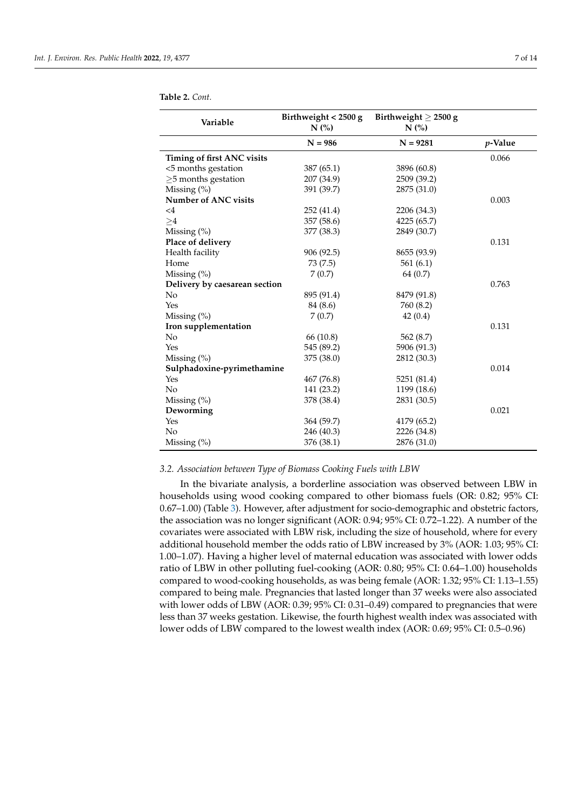| $N = 986$<br>$N = 9281$<br>Timing of first ANC visits<br><5 months gestation<br>387 (65.1)<br>3896 (60.8)<br>$\geq$ 5 months gestation<br>207 (34.9)<br>2509 (39.2)<br>Missing (%)<br>391 (39.7)<br>2875 (31.0)<br><b>Number of ANC visits</b><br>252 (41.4)<br>2206 (34.3)<br>$<$ 4<br>357 (58.6)<br>4225 (65.7)<br>>4<br>2849 (30.7) |                 |
|----------------------------------------------------------------------------------------------------------------------------------------------------------------------------------------------------------------------------------------------------------------------------------------------------------------------------------------|-----------------|
|                                                                                                                                                                                                                                                                                                                                        | <i>p</i> -Value |
|                                                                                                                                                                                                                                                                                                                                        | 0.066           |
|                                                                                                                                                                                                                                                                                                                                        |                 |
|                                                                                                                                                                                                                                                                                                                                        |                 |
|                                                                                                                                                                                                                                                                                                                                        |                 |
|                                                                                                                                                                                                                                                                                                                                        | 0.003           |
|                                                                                                                                                                                                                                                                                                                                        |                 |
|                                                                                                                                                                                                                                                                                                                                        |                 |
| Missing (%)<br>377 (38.3)                                                                                                                                                                                                                                                                                                              |                 |
| Place of delivery                                                                                                                                                                                                                                                                                                                      | 0.131           |
| Health facility<br>906 (92.5)<br>8655 (93.9)                                                                                                                                                                                                                                                                                           |                 |
| Home<br>73 (7.5)<br>561 (6.1)                                                                                                                                                                                                                                                                                                          |                 |
| Missing (%)<br>7(0.7)<br>64 (0.7)                                                                                                                                                                                                                                                                                                      |                 |
| Delivery by caesarean section                                                                                                                                                                                                                                                                                                          | 0.763           |
| No<br>895 (91.4)<br>8479 (91.8)                                                                                                                                                                                                                                                                                                        |                 |
| Yes<br>84 (8.6)<br>760 (8.2)                                                                                                                                                                                                                                                                                                           |                 |
| Missing (%)<br>7(0.7)<br>42(0.4)                                                                                                                                                                                                                                                                                                       |                 |
| Iron supplementation                                                                                                                                                                                                                                                                                                                   | 0.131           |
| 66 (10.8)<br>562 (8.7)<br>No                                                                                                                                                                                                                                                                                                           |                 |
| Yes<br>545 (89.2)<br>5906 (91.3)                                                                                                                                                                                                                                                                                                       |                 |
| Missing (%)<br>375 (38.0)<br>2812 (30.3)                                                                                                                                                                                                                                                                                               |                 |
| Sulphadoxine-pyrimethamine                                                                                                                                                                                                                                                                                                             | 0.014           |
| Yes<br>467 (76.8)<br>5251 (81.4)                                                                                                                                                                                                                                                                                                       |                 |
| No<br>141 (23.2)<br>1199 (18.6)                                                                                                                                                                                                                                                                                                        |                 |
| Missing (%)<br>378 (38.4)<br>2831 (30.5)                                                                                                                                                                                                                                                                                               |                 |
| Deworming                                                                                                                                                                                                                                                                                                                              | 0.021           |
| Yes<br>364 (59.7)<br>4179 (65.2)                                                                                                                                                                                                                                                                                                       |                 |
| No<br>246 (40.3)<br>2226 (34.8)                                                                                                                                                                                                                                                                                                        |                 |

**Table 2.** *Cont.*

#### *3.2. Association between Type of Biomass Cooking Fuels with LBW*

Missing (%) 376 (38.1) 2876 (31.0)

In the bivariate analysis, a borderline association was observed between LBW in households using wood cooking compared to other biomass fuels (OR: 0.82; 95% CI: 0.67–1.00) (Table [3\)](#page-8-0). However, after adjustment for socio-demographic and obstetric factors, the association was no longer significant (AOR: 0.94; 95% CI: 0.72–1.22). A number of the covariates were associated with LBW risk, including the size of household, where for every additional household member the odds ratio of LBW increased by 3% (AOR: 1.03; 95% CI: 1.00–1.07). Having a higher level of maternal education was associated with lower odds ratio of LBW in other polluting fuel-cooking (AOR: 0.80; 95% CI: 0.64–1.00) households compared to wood-cooking households, as was being female (AOR: 1.32; 95% CI: 1.13–1.55) compared to being male. Pregnancies that lasted longer than 37 weeks were also associated with lower odds of LBW (AOR: 0.39; 95% CI: 0.31–0.49) compared to pregnancies that were less than 37 weeks gestation. Likewise, the fourth highest wealth index was associated with lower odds of LBW compared to the lowest wealth index (AOR: 0.69; 95% CI: 0.5–0.96)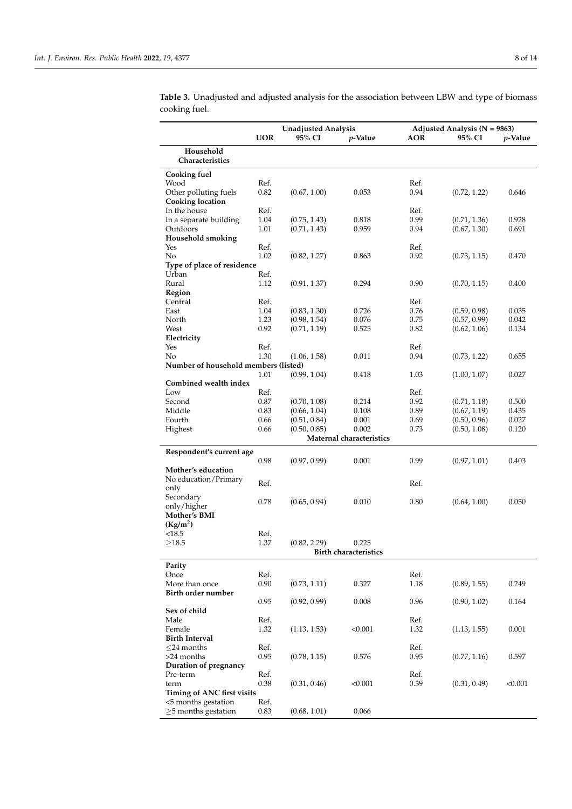|                                      | <b>UOR</b>   | <b>Unadjusted Analysis</b><br>95% CI | <i>p</i> -Value              | <b>AOR</b>   | Adjusted Analysis ( $N = 9863$ )<br>95% CI | <i>p</i> -Value |
|--------------------------------------|--------------|--------------------------------------|------------------------------|--------------|--------------------------------------------|-----------------|
| Household<br>Characteristics         |              |                                      |                              |              |                                            |                 |
| Cooking fuel                         |              |                                      |                              |              |                                            |                 |
| Wood                                 | Ref.         |                                      |                              | Ref.         |                                            |                 |
| Other polluting fuels                | 0.82         | (0.67, 1.00)                         | 0.053                        | 0.94         | (0.72, 1.22)                               | 0.646           |
| <b>Cooking location</b>              |              |                                      |                              |              |                                            |                 |
| In the house                         | Ref.         |                                      |                              | Ref.         |                                            |                 |
| In a separate building<br>Outdoors   | 1.04         | (0.75, 1.43)                         | 0.818                        | 0.99         | (0.71, 1.36)                               | 0.928           |
| <b>Household smoking</b>             | 1.01         | (0.71, 1.43)                         | 0.959                        | 0.94         | (0.67, 1.30)                               | 0.691           |
| Yes                                  | Ref.         |                                      |                              | Ref.         |                                            |                 |
| No                                   | 1.02         | (0.82, 1.27)                         | 0.863                        | 0.92         | (0.73, 1.15)                               | 0.470           |
| Type of place of residence           |              |                                      |                              |              |                                            |                 |
| Urban                                | Ref.         |                                      |                              |              |                                            |                 |
| Rural                                | 1.12         | (0.91, 1.37)                         | 0.294                        | 0.90         | (0.70, 1.15)                               | 0.400           |
| Region                               |              |                                      |                              |              |                                            |                 |
| Central                              | Ref.         |                                      |                              | Ref.         |                                            |                 |
| East                                 | 1.04         | (0.83, 1.30)                         | 0.726                        | 0.76         | (0.59, 0.98)                               | 0.035           |
| North                                | 1.23         | (0.98, 1.54)                         | 0.076                        | 0.75         | (0.57, 0.99)                               | 0.042           |
| West                                 | 0.92         | (0.71, 1.19)                         | 0.525                        | 0.82         | (0.62, 1.06)                               | 0.134           |
| Electricity                          |              |                                      |                              |              |                                            |                 |
| Yes<br>No                            | Ref.<br>1.30 | (1.06, 1.58)                         | 0.011                        | Ref.<br>0.94 |                                            | 0.655           |
| Number of household members (listed) |              |                                      |                              |              | (0.73, 1.22)                               |                 |
|                                      | 1.01         | (0.99, 1.04)                         | 0.418                        | 1.03         | (1.00, 1.07)                               | 0.027           |
| Combined wealth index                |              |                                      |                              |              |                                            |                 |
| Low                                  | Ref.         |                                      |                              | Ref.         |                                            |                 |
| Second                               | 0.87         | (0.70, 1.08)                         | 0.214                        | 0.92         | (0.71, 1.18)                               | 0.500           |
| Middle                               | 0.83         | (0.66, 1.04)                         | 0.108                        | 0.89         | (0.67, 1.19)                               | 0.435           |
| Fourth                               | 0.66         | (0.51, 0.84)                         | 0.001                        | 0.69         | (0.50, 0.96)                               | 0.027           |
| Highest                              | 0.66         | (0.50, 0.85)                         | 0.002                        | 0.73         | (0.50, 1.08)                               | 0.120           |
|                                      |              |                                      | Maternal characteristics     |              |                                            |                 |
| Respondent's current age             |              |                                      |                              |              |                                            |                 |
|                                      | 0.98         | (0.97, 0.99)                         | 0.001                        | 0.99         | (0.97, 1.01)                               | 0.403           |
| Mother's education                   |              |                                      |                              |              |                                            |                 |
| No education/Primary                 | Ref.         |                                      |                              | Ref.         |                                            |                 |
| only                                 |              |                                      |                              |              |                                            |                 |
| Secondary                            | 0.78         | (0.65, 0.94)                         | 0.010                        | $0.80\,$     | (0.64, 1.00)                               | 0.050           |
| only/higher                          |              |                                      |                              |              |                                            |                 |
| Mother's BMI                         |              |                                      |                              |              |                                            |                 |
| (Kg/m <sup>2</sup> )<br>< 18.5       | Ref.         |                                      |                              |              |                                            |                 |
| >18.5                                | 1.37         | (0.82, 2.29)                         | 0.225                        |              |                                            |                 |
|                                      |              |                                      | <b>Birth characteristics</b> |              |                                            |                 |
|                                      |              |                                      |                              |              |                                            |                 |
| Parity<br>Once                       | Ref.         |                                      |                              | Ref.         |                                            |                 |
| More than once                       | 0.90         | (0.73, 1.11)                         | 0.327                        | 1.18         | (0.89, 1.55)                               | 0.249           |
| Birth order number                   |              |                                      |                              |              |                                            |                 |
|                                      | 0.95         | (0.92, 0.99)                         | 0.008                        | 0.96         | (0.90, 1.02)                               | 0.164           |
| Sex of child                         |              |                                      |                              |              |                                            |                 |
| Male                                 | Ref.         |                                      |                              | Ref.         |                                            |                 |
| Female                               | 1.32         | (1.13, 1.53)                         | < 0.001                      | 1.32         | (1.13, 1.55)                               | 0.001           |
| <b>Birth Interval</b>                |              |                                      |                              |              |                                            |                 |
| $<$ 24 months                        | Ref.         |                                      |                              | Ref.         |                                            |                 |
| >24 months                           | 0.95         | (0.78, 1.15)                         | 0.576                        | 0.95         | (0.77, 1.16)                               | 0.597           |
| Duration of pregnancy                |              |                                      |                              |              |                                            |                 |
| Pre-term                             | Ref.         |                                      |                              | Ref.         |                                            |                 |
| term<br>Timing of ANC first visits   | 0.38         | (0.31, 0.46)                         | < 0.001                      | 0.39         | (0.31, 0.49)                               | < 0.001         |
| <5 months gestation                  | Ref.         |                                      |                              |              |                                            |                 |
| $\geq$ 5 months gestation            | 0.83         | (0.68, 1.01)                         | 0.066                        |              |                                            |                 |
|                                      |              |                                      |                              |              |                                            |                 |

<span id="page-8-0"></span>**Table 3.** Unadjusted and adjusted analysis for the association between LBW and type of biomass cooking fuel.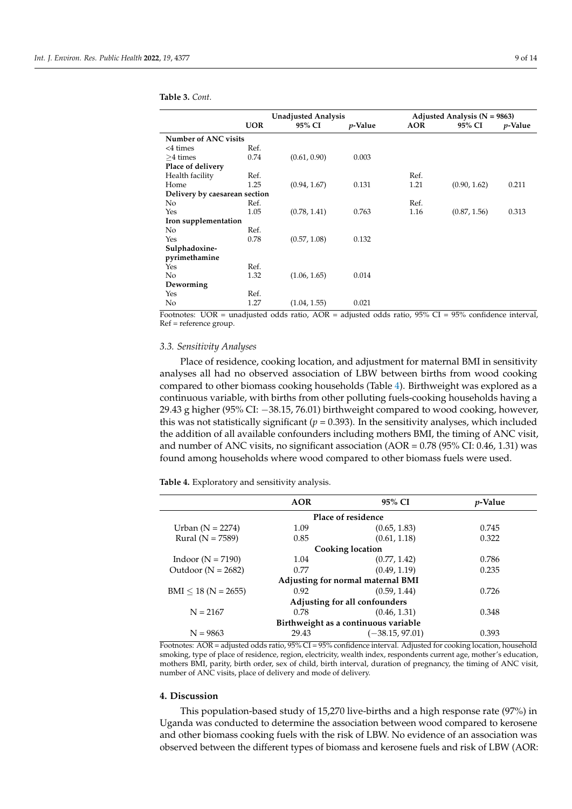|                               | <b>Unadjusted Analysis</b> |              | Adjusted Analysis ( $N = 9863$ ) |            |              |                 |
|-------------------------------|----------------------------|--------------|----------------------------------|------------|--------------|-----------------|
|                               | <b>UOR</b>                 | 95% CI       | <i>p</i> -Value                  | <b>AOR</b> | 95% CI       | <i>p</i> -Value |
| Number of ANC visits          |                            |              |                                  |            |              |                 |
| $<4$ times                    | Ref.                       |              |                                  |            |              |                 |
| $>4$ times                    | 0.74                       | (0.61, 0.90) | 0.003                            |            |              |                 |
| Place of delivery             |                            |              |                                  |            |              |                 |
| Health facility               | Ref.                       |              |                                  | Ref.       |              |                 |
| Home                          | 1.25                       | (0.94, 1.67) | 0.131                            | 1.21       | (0.90, 1.62) | 0.211           |
| Delivery by caesarean section |                            |              |                                  |            |              |                 |
| No                            | Ref.                       |              |                                  | Ref.       |              |                 |
| Yes                           | 1.05                       | (0.78, 1.41) | 0.763                            | 1.16       | (0.87, 1.56) | 0.313           |
| Iron supplementation          |                            |              |                                  |            |              |                 |
| No                            | Ref.                       |              |                                  |            |              |                 |
| Yes                           | 0.78                       | (0.57, 1.08) | 0.132                            |            |              |                 |
| Sulphadoxine-                 |                            |              |                                  |            |              |                 |
| pyrimethamine                 |                            |              |                                  |            |              |                 |
| Yes                           | Ref.                       |              |                                  |            |              |                 |
| N <sub>o</sub>                | 1.32                       | (1.06, 1.65) | 0.014                            |            |              |                 |
| Deworming                     |                            |              |                                  |            |              |                 |
| Yes                           | Ref.                       |              |                                  |            |              |                 |
| No                            | 1.27                       | (1.04, 1.55) | 0.021                            |            |              |                 |

**Table 3.** *Cont.*

Footnotes: UOR = unadjusted odds ratio,  $AOR =$  adjusted odds ratio,  $95\%$  CI =  $95\%$  confidence interval, Ref = reference group.

#### *3.3. Sensitivity Analyses*

Place of residence, cooking location, and adjustment for maternal BMI in sensitivity analyses all had no observed association of LBW between births from wood cooking compared to other biomass cooking households (Table [4\)](#page-9-0). Birthweight was explored as a continuous variable, with births from other polluting fuels-cooking households having a 29.43 g higher (95% CI: −38.15, 76.01) birthweight compared to wood cooking, however, this was not statistically significant  $(p = 0.393)$ . In the sensitivity analyses, which included the addition of all available confounders including mothers BMI, the timing of ANC visit, and number of ANC visits, no significant association (AOR = 0.78 (95% CI: 0.46, 1.31) was found among households where wood compared to other biomass fuels were used.

<span id="page-9-0"></span>**Table 4.** Exploratory and sensitivity analysis.

|                                      | <b>AOR</b> | 95% CI            | <i>v</i> -Value |  |  |  |
|--------------------------------------|------------|-------------------|-----------------|--|--|--|
| Place of residence                   |            |                   |                 |  |  |  |
| Urban $(N = 2274)$                   | 1.09       | (0.65, 1.83)      | 0.745           |  |  |  |
| Rural ( $N = 7589$ )                 | 0.85       | (0.61, 1.18)      | 0.322           |  |  |  |
| <b>Cooking location</b>              |            |                   |                 |  |  |  |
| Indoor ( $N = 7190$ )                | 1.04       | (0.77, 1.42)      | 0.786           |  |  |  |
| Outdoor ( $N = 2682$ )               | 0.77       | (0.49, 1.19)      | 0.235           |  |  |  |
| Adjusting for normal maternal BMI    |            |                   |                 |  |  |  |
| $BMI \leq 18 (N = 2655)$             | 0.92       | (0.59, 1.44)      | 0.726           |  |  |  |
| Adjusting for all confounders        |            |                   |                 |  |  |  |
| $N = 2167$                           | 0.78       | (0.46, 1.31)      | 0.348           |  |  |  |
| Birthweight as a continuous variable |            |                   |                 |  |  |  |
| $N = 9863$                           | 29.43      | $(-38.15, 97.01)$ | 0.393           |  |  |  |

Footnotes: AOR = adjusted odds ratio, 95% CI = 95% confidence interval. Adjusted for cooking location, household smoking, type of place of residence, region, electricity, wealth index, respondents current age, mother's education, mothers BMI, parity, birth order, sex of child, birth interval, duration of pregnancy, the timing of ANC visit, number of ANC visits, place of delivery and mode of delivery.

#### **4. Discussion**

This population-based study of 15,270 live-births and a high response rate (97%) in Uganda was conducted to determine the association between wood compared to kerosene and other biomass cooking fuels with the risk of LBW. No evidence of an association was observed between the different types of biomass and kerosene fuels and risk of LBW (AOR: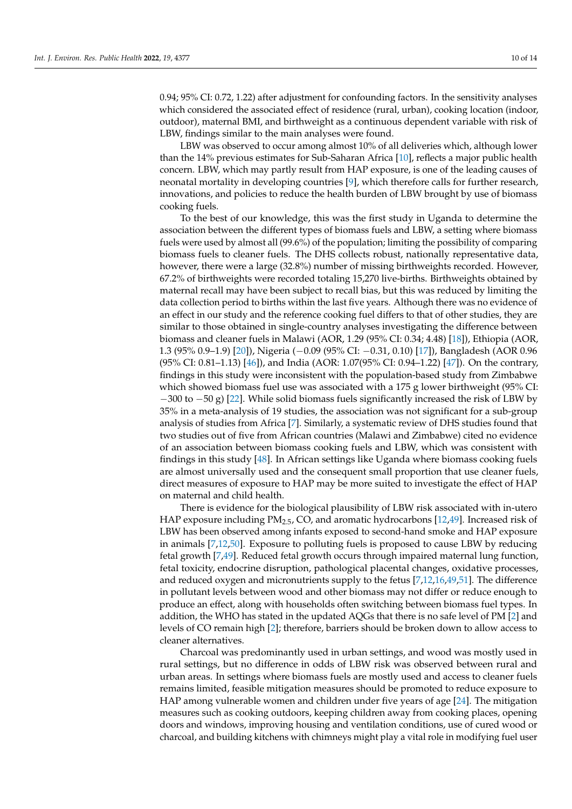0.94; 95% CI: 0.72, 1.22) after adjustment for confounding factors. In the sensitivity analyses which considered the associated effect of residence (rural, urban), cooking location (indoor, outdoor), maternal BMI, and birthweight as a continuous dependent variable with risk of LBW, findings similar to the main analyses were found.

LBW was observed to occur among almost 10% of all deliveries which, although lower than the 14% previous estimates for Sub-Saharan Africa [\[10\]](#page-12-9), reflects a major public health concern. LBW, which may partly result from HAP exposure, is one of the leading causes of neonatal mortality in developing countries [\[9\]](#page-12-8), which therefore calls for further research, innovations, and policies to reduce the health burden of LBW brought by use of biomass cooking fuels.

To the best of our knowledge, this was the first study in Uganda to determine the association between the different types of biomass fuels and LBW, a setting where biomass fuels were used by almost all (99.6%) of the population; limiting the possibility of comparing biomass fuels to cleaner fuels. The DHS collects robust, nationally representative data, however, there were a large (32.8%) number of missing birthweights recorded. However, 67.2% of birthweights were recorded totaling 15,270 live-births. Birthweights obtained by maternal recall may have been subject to recall bias, but this was reduced by limiting the data collection period to births within the last five years. Although there was no evidence of an effect in our study and the reference cooking fuel differs to that of other studies, they are similar to those obtained in single-country analyses investigating the difference between biomass and cleaner fuels in Malawi (AOR, 1.29 (95% CI: 0.34; 4.48) [\[18\]](#page-12-15)), Ethiopia (AOR, 1.3 (95% 0.9–1.9) [\[20\]](#page-12-22)), Nigeria (−0.09 (95% CI: −0.31, 0.10) [\[17\]](#page-12-14)), Bangladesh (AOR 0.96 (95% CI: 0.81–1.13) [\[46\]](#page-13-19)), and India (AOR: 1.07(95% CI: 0.94–1.22) [\[47\]](#page-13-20)). On the contrary, findings in this study were inconsistent with the population-based study from Zimbabwe which showed biomass fuel use was associated with a 175 g lower birthweight (95% CI: −300 to −50 g) [\[22\]](#page-12-18). While solid biomass fuels significantly increased the risk of LBW by 35% in a meta-analysis of 19 studies, the association was not significant for a sub-group analysis of studies from Africa [\[7\]](#page-12-6). Similarly, a systematic review of DHS studies found that two studies out of five from African countries (Malawi and Zimbabwe) cited no evidence of an association between biomass cooking fuels and LBW, which was consistent with findings in this study [\[48\]](#page-13-21). In African settings like Uganda where biomass cooking fuels are almost universally used and the consequent small proportion that use cleaner fuels, direct measures of exposure to HAP may be more suited to investigate the effect of HAP on maternal and child health.

There is evidence for the biological plausibility of LBW risk associated with in-utero HAP exposure including PM2.5, CO, and aromatic hydrocarbons [\[12](#page-12-11)[,49\]](#page-13-22). Increased risk of LBW has been observed among infants exposed to second-hand smoke and HAP exposure in animals [\[7,](#page-12-6)[12,](#page-12-11)[50\]](#page-13-23). Exposure to polluting fuels is proposed to cause LBW by reducing fetal growth [\[7,](#page-12-6)[49\]](#page-13-22). Reduced fetal growth occurs through impaired maternal lung function, fetal toxicity, endocrine disruption, pathological placental changes, oxidative processes, and reduced oxygen and micronutrients supply to the fetus [\[7](#page-12-6)[,12](#page-12-11)[,16](#page-12-23)[,49](#page-13-22)[,51\]](#page-13-24). The difference in pollutant levels between wood and other biomass may not differ or reduce enough to produce an effect, along with households often switching between biomass fuel types. In addition, the WHO has stated in the updated AQGs that there is no safe level of PM [\[2\]](#page-12-1) and levels of CO remain high [\[2\]](#page-12-1); therefore, barriers should be broken down to allow access to cleaner alternatives.

Charcoal was predominantly used in urban settings, and wood was mostly used in rural settings, but no difference in odds of LBW risk was observed between rural and urban areas. In settings where biomass fuels are mostly used and access to cleaner fuels remains limited, feasible mitigation measures should be promoted to reduce exposure to HAP among vulnerable women and children under five years of age [\[24\]](#page-12-21). The mitigation measures such as cooking outdoors, keeping children away from cooking places, opening doors and windows, improving housing and ventilation conditions, use of cured wood or charcoal, and building kitchens with chimneys might play a vital role in modifying fuel user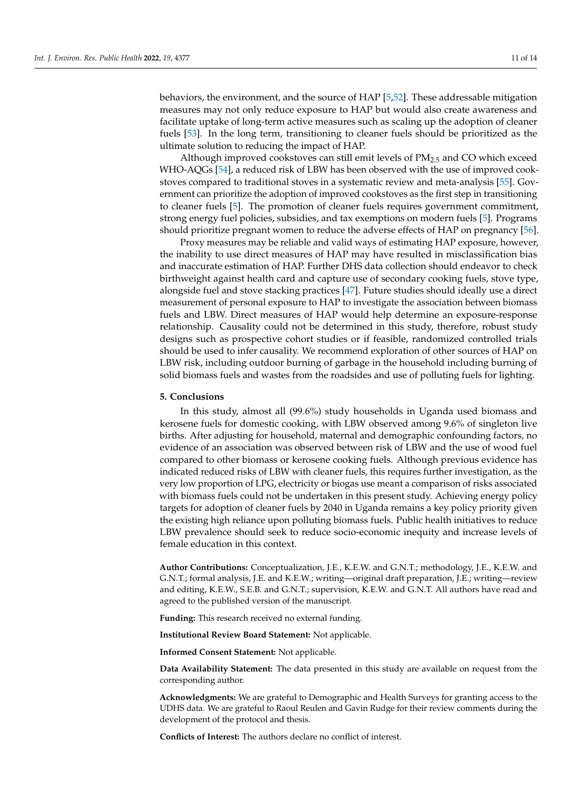behaviors, the environment, and the source of HAP [\[5,](#page-12-4)[52\]](#page-13-25). These addressable mitigation measures may not only reduce exposure to HAP but would also create awareness and facilitate uptake of long-term active measures such as scaling up the adoption of cleaner fuels [\[53\]](#page-13-26). In the long term, transitioning to cleaner fuels should be prioritized as the ultimate solution to reducing the impact of HAP.

Although improved cookstoves can still emit levels of  $PM_{2.5}$  and CO which exceed WHO-AQGs [\[54\]](#page-13-27), a reduced risk of LBW has been observed with the use of improved cookstoves compared to traditional stoves in a systematic review and meta-analysis [\[55\]](#page-14-0). Government can prioritize the adoption of improved cookstoves as the first step in transitioning to cleaner fuels [\[5\]](#page-12-4). The promotion of cleaner fuels requires government commitment, strong energy fuel policies, subsidies, and tax exemptions on modern fuels [\[5\]](#page-12-4). Programs should prioritize pregnant women to reduce the adverse effects of HAP on pregnancy [\[56\]](#page-14-1).

Proxy measures may be reliable and valid ways of estimating HAP exposure, however, the inability to use direct measures of HAP may have resulted in misclassification bias and inaccurate estimation of HAP. Further DHS data collection should endeavor to check birthweight against health card and capture use of secondary cooking fuels, stove type, alongside fuel and stove stacking practices [\[47\]](#page-13-20). Future studies should ideally use a direct measurement of personal exposure to HAP to investigate the association between biomass fuels and LBW. Direct measures of HAP would help determine an exposure-response relationship. Causality could not be determined in this study, therefore, robust study designs such as prospective cohort studies or if feasible, randomized controlled trials should be used to infer causality. We recommend exploration of other sources of HAP on LBW risk, including outdoor burning of garbage in the household including burning of solid biomass fuels and wastes from the roadsides and use of polluting fuels for lighting.

#### **5. Conclusions**

In this study, almost all (99.6%) study households in Uganda used biomass and kerosene fuels for domestic cooking, with LBW observed among 9.6% of singleton live births. After adjusting for household, maternal and demographic confounding factors, no evidence of an association was observed between risk of LBW and the use of wood fuel compared to other biomass or kerosene cooking fuels. Although previous evidence has indicated reduced risks of LBW with cleaner fuels, this requires further investigation, as the very low proportion of LPG, electricity or biogas use meant a comparison of risks associated with biomass fuels could not be undertaken in this present study. Achieving energy policy targets for adoption of cleaner fuels by 2040 in Uganda remains a key policy priority given the existing high reliance upon polluting biomass fuels. Public health initiatives to reduce LBW prevalence should seek to reduce socio-economic inequity and increase levels of female education in this context.

**Author Contributions:** Conceptualization, J.E., K.E.W. and G.N.T.; methodology, J.E., K.E.W. and G.N.T.; formal analysis, J.E. and K.E.W.; writing—original draft preparation, J.E.; writing—review and editing, K.E.W., S.E.B. and G.N.T.; supervision, K.E.W. and G.N.T. All authors have read and agreed to the published version of the manuscript.

**Funding:** This research received no external funding.

**Institutional Review Board Statement:** Not applicable.

**Informed Consent Statement:** Not applicable.

**Data Availability Statement:** The data presented in this study are available on request from the corresponding author.

**Acknowledgments:** We are grateful to Demographic and Health Surveys for granting access to the UDHS data. We are grateful to Raoul Reulen and Gavin Rudge for their review comments during the development of the protocol and thesis.

**Conflicts of Interest:** The authors declare no conflict of interest.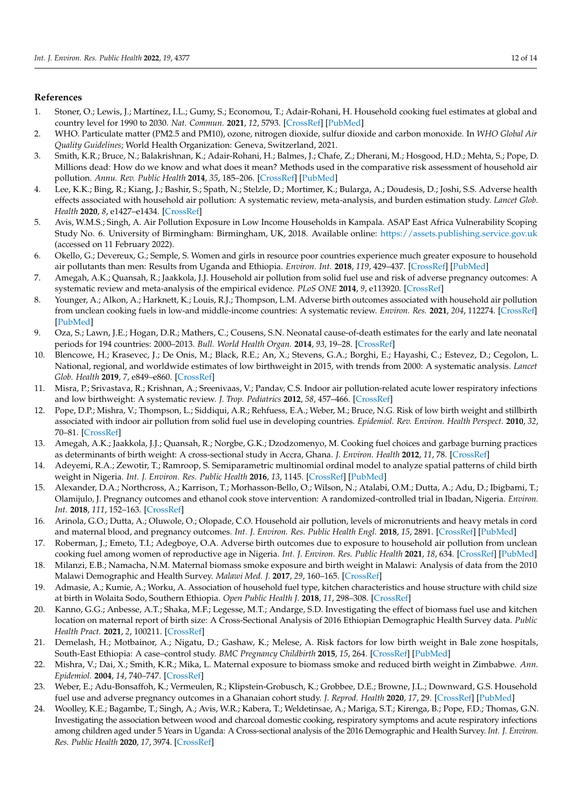#### **References**

- <span id="page-12-0"></span>1. Stoner, O.; Lewis, J.; Martínez, I.L.; Gumy, S.; Economou, T.; Adair-Rohani, H. Household cooking fuel estimates at global and country level for 1990 to 2030. *Nat. Commun.* **2021**, *12*, 5793. [\[CrossRef\]](http://doi.org/10.1038/s41467-021-26036-x) [\[PubMed\]](http://www.ncbi.nlm.nih.gov/pubmed/34608147)
- <span id="page-12-1"></span>2. WHO. Particulate matter (PM2.5 and PM10), ozone, nitrogen dioxide, sulfur dioxide and carbon monoxide. In *WHO Global Air Quality Guidelines*; World Health Organization: Geneva, Switzerland, 2021.
- <span id="page-12-2"></span>3. Smith, K.R.; Bruce, N.; Balakrishnan, K.; Adair-Rohani, H.; Balmes, J.; Chafe, Z.; Dherani, M.; Hosgood, H.D.; Mehta, S.; Pope, D. Millions dead: How do we know and what does it mean? Methods used in the comparative risk assessment of household air pollution. *Annu. Rev. Public Health* **2014**, *35*, 185–206. [\[CrossRef\]](http://doi.org/10.1146/annurev-publhealth-032013-182356) [\[PubMed\]](http://www.ncbi.nlm.nih.gov/pubmed/24641558)
- <span id="page-12-3"></span>4. Lee, K.K.; Bing, R.; Kiang, J.; Bashir, S.; Spath, N.; Stelzle, D.; Mortimer, K.; Bularga, A.; Doudesis, D.; Joshi, S.S. Adverse health effects associated with household air pollution: A systematic review, meta-analysis, and burden estimation study. *Lancet Glob. Health* **2020**, *8*, e1427–e1434. [\[CrossRef\]](http://doi.org/10.1016/S2214-109X(20)30343-0)
- <span id="page-12-4"></span>5. Avis, W.M.S.; Singh, A. Air Pollution Exposure in Low Income Households in Kampala. ASAP East Africa Vulnerability Scoping Study No. 6. University of Birmingham: Birmingham, UK, 2018. Available online: <https://assets.publishing.service.gov.uk> (accessed on 11 February 2022).
- <span id="page-12-5"></span>6. Okello, G.; Devereux, G.; Semple, S. Women and girls in resource poor countries experience much greater exposure to household air pollutants than men: Results from Uganda and Ethiopia. *Environ. Int.* **2018**, *119*, 429–437. [\[CrossRef\]](http://doi.org/10.1016/j.envint.2018.07.002) [\[PubMed\]](http://www.ncbi.nlm.nih.gov/pubmed/30029097)
- <span id="page-12-6"></span>7. Amegah, A.K.; Quansah, R.; Jaakkola, J.J. Household air pollution from solid fuel use and risk of adverse pregnancy outcomes: A systematic review and meta-analysis of the empirical evidence. *PLoS ONE* **2014**, *9*, e113920. [\[CrossRef\]](http://doi.org/10.1371/journal.pone.0113920)
- <span id="page-12-7"></span>8. Younger, A.; Alkon, A.; Harknett, K.; Louis, R.J.; Thompson, L.M. Adverse birth outcomes associated with household air pollution from unclean cooking fuels in low-and middle-income countries: A systematic review. *Environ. Res.* **2021**, *204*, 112274. [\[CrossRef\]](http://doi.org/10.1016/j.envres.2021.112274) [\[PubMed\]](http://www.ncbi.nlm.nih.gov/pubmed/34710435)
- <span id="page-12-8"></span>9. Oza, S.; Lawn, J.E.; Hogan, D.R.; Mathers, C.; Cousens, S.N. Neonatal cause-of-death estimates for the early and late neonatal periods for 194 countries: 2000–2013. *Bull. World Health Organ.* **2014**, *93*, 19–28. [\[CrossRef\]](http://doi.org/10.2471/BLT.14.139790)
- <span id="page-12-9"></span>10. Blencowe, H.; Krasevec, J.; De Onis, M.; Black, R.E.; An, X.; Stevens, G.A.; Borghi, E.; Hayashi, C.; Estevez, D.; Cegolon, L. National, regional, and worldwide estimates of low birthweight in 2015, with trends from 2000: A systematic analysis. *Lancet Glob. Health* **2019**, *7*, e849–e860. [\[CrossRef\]](http://doi.org/10.1016/S2214-109X(18)30565-5)
- <span id="page-12-10"></span>11. Misra, P.; Srivastava, R.; Krishnan, A.; Sreenivaas, V.; Pandav, C.S. Indoor air pollution-related acute lower respiratory infections and low birthweight: A systematic review. *J. Trop. Pediatrics* **2012**, *58*, 457–466. [\[CrossRef\]](http://doi.org/10.1093/tropej/fms017)
- <span id="page-12-11"></span>12. Pope, D.P.; Mishra, V.; Thompson, L.; Siddiqui, A.R.; Rehfuess, E.A.; Weber, M.; Bruce, N.G. Risk of low birth weight and stillbirth associated with indoor air pollution from solid fuel use in developing countries. *Epidemiol. Rev. Environ. Health Perspect.* **2010**, *32*, 70–81. [\[CrossRef\]](http://doi.org/10.1093/epirev/mxq005)
- <span id="page-12-12"></span>13. Amegah, A.K.; Jaakkola, J.J.; Quansah, R.; Norgbe, G.K.; Dzodzomenyo, M. Cooking fuel choices and garbage burning practices as determinants of birth weight: A cross-sectional study in Accra, Ghana. *J. Environ. Health* **2012**, *11*, 78. [\[CrossRef\]](http://doi.org/10.1186/1476-069X-11-78)
- <span id="page-12-13"></span>14. Adeyemi, R.A.; Zewotir, T.; Ramroop, S. Semiparametric multinomial ordinal model to analyze spatial patterns of child birth weight in Nigeria. *Int. J. Environ. Res. Public Health* **2016**, *13*, 1145. [\[CrossRef\]](http://doi.org/10.3390/ijerph13111145) [\[PubMed\]](http://www.ncbi.nlm.nih.gov/pubmed/27869653)
- <span id="page-12-19"></span>15. Alexander, D.A.; Northcross, A.; Karrison, T.; Morhasson-Bello, O.; Wilson, N.; Atalabi, O.M.; Dutta, A.; Adu, D.; Ibigbami, T.; Olamijulo, J. Pregnancy outcomes and ethanol cook stove intervention: A randomized-controlled trial in Ibadan, Nigeria. *Environ. Int.* **2018**, *111*, 152–163. [\[CrossRef\]](http://doi.org/10.1016/j.envint.2017.11.021)
- <span id="page-12-23"></span>16. Arinola, G.O.; Dutta, A.; Oluwole, O.; Olopade, C.O. Household air pollution, levels of micronutrients and heavy metals in cord and maternal blood, and pregnancy outcomes. *Int. J. Environ. Res. Public Health Engl.* **2018**, *15*, 2891. [\[CrossRef\]](http://doi.org/10.3390/ijerph15122891) [\[PubMed\]](http://www.ncbi.nlm.nih.gov/pubmed/30562990)
- <span id="page-12-14"></span>17. Roberman, J.; Emeto, T.I.; Adegboye, O.A. Adverse birth outcomes due to exposure to household air pollution from unclean cooking fuel among women of reproductive age in Nigeria. *Int. J. Environ. Res. Public Health* **2021**, *18*, 634. [\[CrossRef\]](http://doi.org/10.3390/ijerph18020634) [\[PubMed\]](http://www.ncbi.nlm.nih.gov/pubmed/33451100)
- <span id="page-12-15"></span>18. Milanzi, E.B.; Namacha, N.M. Maternal biomass smoke exposure and birth weight in Malawi: Analysis of data from the 2010 Malawi Demographic and Health Survey. *Malawi Med. J.* **2017**, *29*, 160–165. [\[CrossRef\]](http://doi.org/10.4314/mmj.v29i2.16)
- <span id="page-12-16"></span>19. Admasie, A.; Kumie, A.; Worku, A. Association of household fuel type, kitchen characteristics and house structure with child size at birth in Wolaita Sodo, Southern Ethiopia. *Open Public Health J.* **2018**, *11*, 298–308. [\[CrossRef\]](http://doi.org/10.2174/1874944501811010298)
- <span id="page-12-22"></span>20. Kanno, G.G.; Anbesse, A.T.; Shaka, M.F.; Legesse, M.T.; Andarge, S.D. Investigating the effect of biomass fuel use and kitchen location on maternal report of birth size: A Cross-Sectional Analysis of 2016 Ethiopian Demographic Health Survey data. *Public Health Pract.* **2021**, *2*, 100211. [\[CrossRef\]](http://doi.org/10.1016/j.puhip.2021.100211)
- <span id="page-12-17"></span>21. Demelash, H.; Motbainor, A.; Nigatu, D.; Gashaw, K.; Melese, A. Risk factors for low birth weight in Bale zone hospitals, South-East Ethiopia: A case–control study. *BMC Pregnancy Childbirth* **2015**, *15*, 264. [\[CrossRef\]](http://doi.org/10.1186/s12884-015-0677-y) [\[PubMed\]](http://www.ncbi.nlm.nih.gov/pubmed/26463177)
- <span id="page-12-18"></span>22. Mishra, V.; Dai, X.; Smith, K.R.; Mika, L. Maternal exposure to biomass smoke and reduced birth weight in Zimbabwe. *Ann. Epidemiol.* **2004**, *14*, 740–747. [\[CrossRef\]](http://doi.org/10.1016/j.annepidem.2004.01.009)
- <span id="page-12-20"></span>23. Weber, E.; Adu-Bonsaffoh, K.; Vermeulen, R.; Klipstein-Grobusch, K.; Grobbee, D.E.; Browne, J.L.; Downward, G.S. Household fuel use and adverse pregnancy outcomes in a Ghanaian cohort study. *J. Reprod. Health* **2020**, *17*, 29. [\[CrossRef\]](http://doi.org/10.1186/s12978-020-0878-3) [\[PubMed\]](http://www.ncbi.nlm.nih.gov/pubmed/32087720)
- <span id="page-12-21"></span>24. Woolley, K.E.; Bagambe, T.; Singh, A.; Avis, W.R.; Kabera, T.; Weldetinsae, A.; Mariga, S.T.; Kirenga, B.; Pope, F.D.; Thomas, G.N. Investigating the association between wood and charcoal domestic cooking, respiratory symptoms and acute respiratory infections among children aged under 5 Years in Uganda: A Cross-sectional analysis of the 2016 Demographic and Health Survey. *Int. J. Environ. Res. Public Health* **2020**, *17*, 3974. [\[CrossRef\]](http://doi.org/10.3390/ijerph17113974)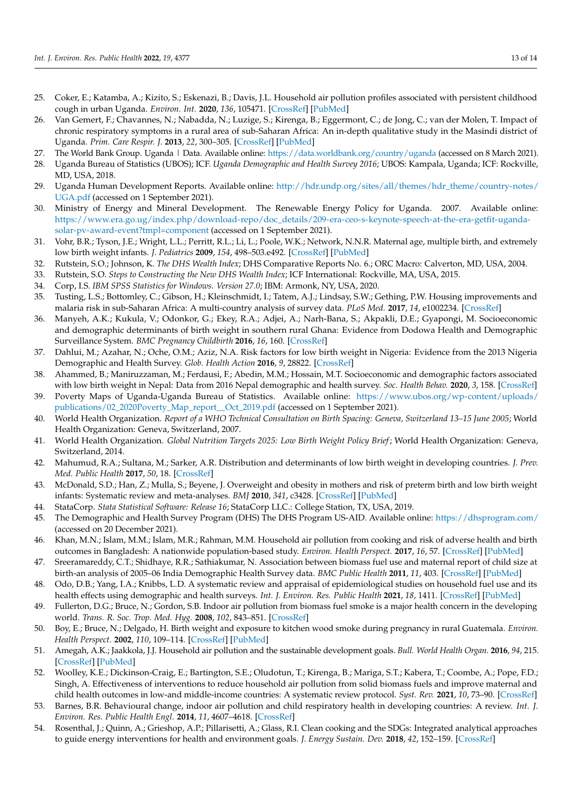- 25. Coker, E.; Katamba, A.; Kizito, S.; Eskenazi, B.; Davis, J.L. Household air pollution profiles associated with persistent childhood cough in urban Uganda. *Environ. Int.* **2020**, *136*, 105471. [\[CrossRef\]](http://doi.org/10.1016/j.envint.2020.105471) [\[PubMed\]](http://www.ncbi.nlm.nih.gov/pubmed/32044526)
- <span id="page-13-0"></span>26. Van Gemert, F.; Chavannes, N.; Nabadda, N.; Luzige, S.; Kirenga, B.; Eggermont, C.; de Jong, C.; van der Molen, T. Impact of chronic respiratory symptoms in a rural area of sub-Saharan Africa: An in-depth qualitative study in the Masindi district of Uganda. *Prim. Care Respir. J.* **2013**, *22*, 300–305. [\[CrossRef\]](http://doi.org/10.4104/pcrj.2013.00064) [\[PubMed\]](http://www.ncbi.nlm.nih.gov/pubmed/23817677)
- <span id="page-13-1"></span>27. The World Bank Group. Uganda | Data. Available online: <https://data.worldbank.org/country/uganda> (accessed on 8 March 2021).
- <span id="page-13-2"></span>28. Uganda Bureau of Statistics (UBOS); ICF. *Uganda Demographic and Health Survey 2016*; UBOS: Kampala, Uganda; ICF: Rockville, MD, USA, 2018.
- <span id="page-13-3"></span>29. Uganda Human Development Reports. Available online: [http://hdr.undp.org/sites/all/themes/hdr\\_theme/country-notes/](http://hdr.undp.org/sites/all/themes/hdr_theme/country-notes/UGA.pdf) [UGA.pdf](http://hdr.undp.org/sites/all/themes/hdr_theme/country-notes/UGA.pdf) (accessed on 1 September 2021).
- <span id="page-13-4"></span>30. Ministry of Energy and Mineral Development. The Renewable Energy Policy for Uganda. 2007. Available online: [https://www.era.go.ug/index.php/download-repo/doc\\_details/209-era-ceo-s-keynote-speech-at-the-era-getfit-uganda](https://www.era.go.ug/index.php/download-repo/doc_details/209-era-ceo-s-keynote-speech-at-the-era-getfit-uganda-solar-pv-award-event?tmpl=component)[solar-pv-award-event?tmpl=component](https://www.era.go.ug/index.php/download-repo/doc_details/209-era-ceo-s-keynote-speech-at-the-era-getfit-uganda-solar-pv-award-event?tmpl=component) (accessed on 1 September 2021).
- <span id="page-13-5"></span>31. Vohr, B.R.; Tyson, J.E.; Wright, L.L.; Perritt, R.L.; Li, L.; Poole, W.K.; Network, N.N.R. Maternal age, multiple birth, and extremely low birth weight infants. *J. Pediatrics* **2009**, *154*, 498–503.e492. [\[CrossRef\]](http://doi.org/10.1016/j.jpeds.2008.10.044) [\[PubMed\]](http://www.ncbi.nlm.nih.gov/pubmed/19111322)
- <span id="page-13-6"></span>32. Rutstein, S.O.; Johnson, K. *The DHS Wealth Index*; DHS Comparative Reports No. 6.; ORC Macro: Calverton, MD, USA, 2004.
- <span id="page-13-7"></span>33. Rutstein, S.O. *Steps to Constructing the New DHS Wealth Index*; ICF International: Rockville, MA, USA, 2015.
- <span id="page-13-8"></span>34. Corp, I.S. *IBM SPSS Statistics for Windows. Version 27.0*; IBM: Armonk, NY, USA, 2020.
- <span id="page-13-9"></span>35. Tusting, L.S.; Bottomley, C.; Gibson, H.; Kleinschmidt, I.; Tatem, A.J.; Lindsay, S.W.; Gething, P.W. Housing improvements and malaria risk in sub-Saharan Africa: A multi-country analysis of survey data. *PLoS Med.* **2017**, *14*, e1002234. [\[CrossRef\]](http://doi.org/10.1371/journal.pmed.1002234)
- <span id="page-13-10"></span>36. Manyeh, A.K.; Kukula, V.; Odonkor, G.; Ekey, R.A.; Adjei, A.; Narh-Bana, S.; Akpakli, D.E.; Gyapongi, M. Socioeconomic and demographic determinants of birth weight in southern rural Ghana: Evidence from Dodowa Health and Demographic Surveillance System. *BMC Pregnancy Childbirth* **2016**, *16*, 160. [\[CrossRef\]](http://doi.org/10.1186/s12884-016-0956-2)
- 37. Dahlui, M.; Azahar, N.; Oche, O.M.; Aziz, N.A. Risk factors for low birth weight in Nigeria: Evidence from the 2013 Nigeria Demographic and Health Survey. *Glob. Health Action* **2016**, *9*, 28822. [\[CrossRef\]](http://doi.org/10.3402/gha.v9.28822)
- <span id="page-13-11"></span>38. Ahammed, B.; Maniruzzaman, M.; Ferdausi, F.; Abedin, M.M.; Hossain, M.T. Socioeconomic and demographic factors associated with low birth weight in Nepal: Data from 2016 Nepal demographic and health survey. *Soc. Health Behav.* **2020**, *3*, 158. [\[CrossRef\]](http://doi.org/10.4103/SHB.SHB_46_20)
- <span id="page-13-12"></span>39. Poverty Maps of Uganda-Uganda Bureau of Statistics. Available online: [https://www.ubos.org/wp-content/uploads/](https://www.ubos.org/wp-content/uploads/publications/02_2020Poverty_Map_report__Oct_2019.pdf) [publications/02\\_2020Poverty\\_Map\\_report\\_\\_Oct\\_2019.pdf](https://www.ubos.org/wp-content/uploads/publications/02_2020Poverty_Map_report__Oct_2019.pdf) (accessed on 1 September 2021).
- <span id="page-13-13"></span>40. World Health Organization. *Report of a WHO Technical Consultation on Birth Spacing: Geneva, Switzerland 13–15 June 2005*; World Health Organization: Geneva, Switzerland, 2007.
- <span id="page-13-14"></span>41. World Health Organization. *Global Nutrition Targets 2025: Low Birth Weight Policy Brief*; World Health Organization: Geneva, Switzerland, 2014.
- <span id="page-13-15"></span>42. Mahumud, R.A.; Sultana, M.; Sarker, A.R. Distribution and determinants of low birth weight in developing countries. *J. Prev. Med. Public Health* **2017**, *50*, 18. [\[CrossRef\]](http://doi.org/10.3961/jpmph.16.087)
- <span id="page-13-16"></span>43. McDonald, S.D.; Han, Z.; Mulla, S.; Beyene, J. Overweight and obesity in mothers and risk of preterm birth and low birth weight infants: Systematic review and meta-analyses. *BMJ* **2010**, *341*, c3428. [\[CrossRef\]](http://doi.org/10.1136/bmj.c3428) [\[PubMed\]](http://www.ncbi.nlm.nih.gov/pubmed/20647282)
- <span id="page-13-17"></span>44. StataCorp. *Stata Statistical Software: Release 16*; StataCorp LLC.: College Station, TX, USA, 2019.
- <span id="page-13-18"></span>45. The Demographic and Health Survey Program (DHS) The DHS Program US-AID. Available online: <https://dhsprogram.com/> (accessed on 20 December 2021).
- <span id="page-13-19"></span>46. Khan, M.N.; Islam, M.M.; Islam, M.R.; Rahman, M.M. Household air pollution from cooking and risk of adverse health and birth outcomes in Bangladesh: A nationwide population-based study. *Environ. Health Perspect.* **2017**, *16*, 57. [\[CrossRef\]](http://doi.org/10.1186/s12940-017-0272-y) [\[PubMed\]](http://www.ncbi.nlm.nih.gov/pubmed/28610581)
- <span id="page-13-20"></span>47. Sreeramareddy, C.T.; Shidhaye, R.R.; Sathiakumar, N. Association between biomass fuel use and maternal report of child size at birth-an analysis of 2005–06 India Demographic Health Survey data. *BMC Public Health* **2011**, *11*, 403. [\[CrossRef\]](http://doi.org/10.1186/1471-2458-11-403) [\[PubMed\]](http://www.ncbi.nlm.nih.gov/pubmed/21619613)
- <span id="page-13-21"></span>48. Odo, D.B.; Yang, I.A.; Knibbs, L.D. A systematic review and appraisal of epidemiological studies on household fuel use and its health effects using demographic and health surveys. *Int. J. Environ. Res. Public Health* **2021**, *18*, 1411. [\[CrossRef\]](http://doi.org/10.3390/ijerph18041411) [\[PubMed\]](http://www.ncbi.nlm.nih.gov/pubmed/33546363)
- <span id="page-13-22"></span>49. Fullerton, D.G.; Bruce, N.; Gordon, S.B. Indoor air pollution from biomass fuel smoke is a major health concern in the developing world. *Trans. R. Soc. Trop. Med. Hyg.* **2008**, *102*, 843–851. [\[CrossRef\]](http://doi.org/10.1016/j.trstmh.2008.05.028)
- <span id="page-13-23"></span>50. Boy, E.; Bruce, N.; Delgado, H. Birth weight and exposure to kitchen wood smoke during pregnancy in rural Guatemala. *Environ. Health Perspect.* **2002**, *110*, 109–114. [\[CrossRef\]](http://doi.org/10.1289/ehp.02110109) [\[PubMed\]](http://www.ncbi.nlm.nih.gov/pubmed/11781172)
- <span id="page-13-24"></span>51. Amegah, A.K.; Jaakkola, J.J. Household air pollution and the sustainable development goals. *Bull. World Health Organ.* **2016**, *94*, 215. [\[CrossRef\]](http://doi.org/10.2471/BLT.15.155812) [\[PubMed\]](http://www.ncbi.nlm.nih.gov/pubmed/26966333)
- <span id="page-13-25"></span>52. Woolley, K.E.; Dickinson-Craig, E.; Bartington, S.E.; Oludotun, T.; Kirenga, B.; Mariga, S.T.; Kabera, T.; Coombe, A.; Pope, F.D.; Singh, A. Effectiveness of interventions to reduce household air pollution from solid biomass fuels and improve maternal and child health outcomes in low-and middle-income countries: A systematic review protocol. *Syst. Rev.* **2021**, *10*, 73–90. [\[CrossRef\]](http://doi.org/10.1186/s13643-021-01590-z)
- <span id="page-13-26"></span>53. Barnes, B.R. Behavioural change, indoor air pollution and child respiratory health in developing countries: A review. *Int. J. Environ. Res. Public Health Engl.* **2014**, *11*, 4607–4618. [\[CrossRef\]](http://doi.org/10.3390/ijerph110504607)
- <span id="page-13-27"></span>54. Rosenthal, J.; Quinn, A.; Grieshop, A.P.; Pillarisetti, A.; Glass, R.I. Clean cooking and the SDGs: Integrated analytical approaches to guide energy interventions for health and environment goals. *J. Energy Sustain. Dev.* **2018**, *42*, 152–159. [\[CrossRef\]](http://doi.org/10.1016/j.esd.2017.11.003)